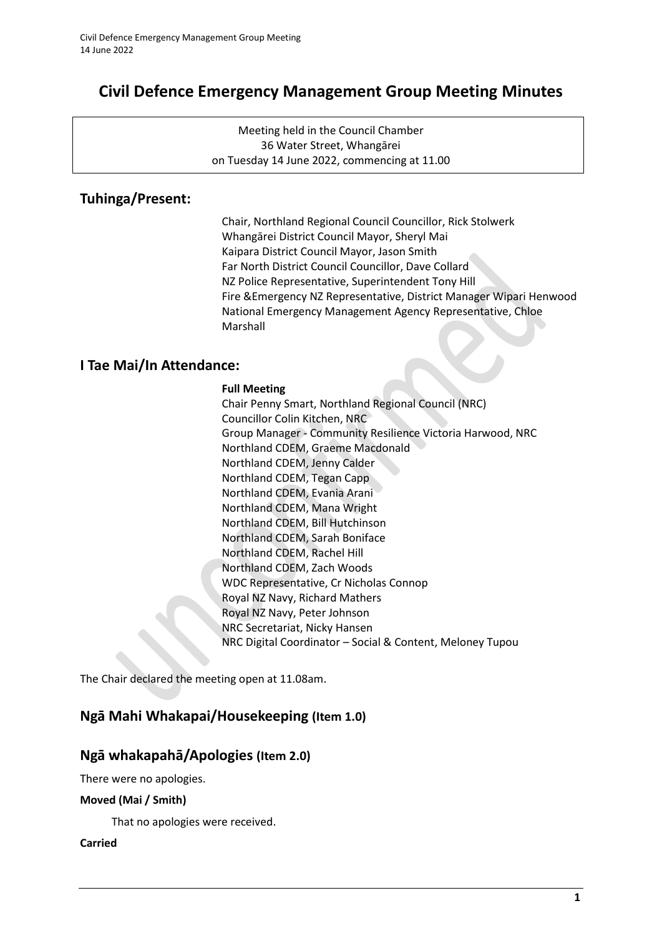# **Civil Defence Emergency Management Group Meeting Minutes**

Meeting held in the Council Chamber 36 Water Street, Whangārei on Tuesday 14 June 2022, commencing at 11.00

# **Tuhinga/Present:**

Chair, Northland Regional Council Councillor, Rick Stolwerk Whangārei District Council Mayor, Sheryl Mai Kaipara District Council Mayor, Jason Smith Far North District Council Councillor, Dave Collard NZ Police Representative, Superintendent Tony Hill Fire &Emergency NZ Representative, District Manager Wipari Henwood National Emergency Management Agency Representative, Chloe Marshall

# **I Tae Mai/In Attendance:**

#### **Full Meeting**

Chair Penny Smart, Northland Regional Council (NRC) Councillor Colin Kitchen, NRC Group Manager - Community Resilience Victoria Harwood, NRC Northland CDEM, Graeme Macdonald Northland CDEM, Jenny Calder Northland CDEM, Tegan Capp Northland CDEM, Evania Arani Northland CDEM, Mana Wright Northland CDEM, Bill Hutchinson Northland CDEM, Sarah Boniface Northland CDEM, Rachel Hill Northland CDEM, Zach Woods WDC Representative, Cr Nicholas Connop Royal NZ Navy, Richard Mathers Royal NZ Navy, Peter Johnson NRC Secretariat, Nicky Hansen NRC Digital Coordinator – Social & Content, Meloney Tupou

The Chair declared the meeting open at 11.08am.

# **Ngā Mahi Whakapai/Housekeeping (Item 1.0)**

## **Ngā whakapahā/Apologies (Item 2.0)**

There were no apologies.

### **Moved (Mai / Smith)**

That no apologies were received.

#### **Carried**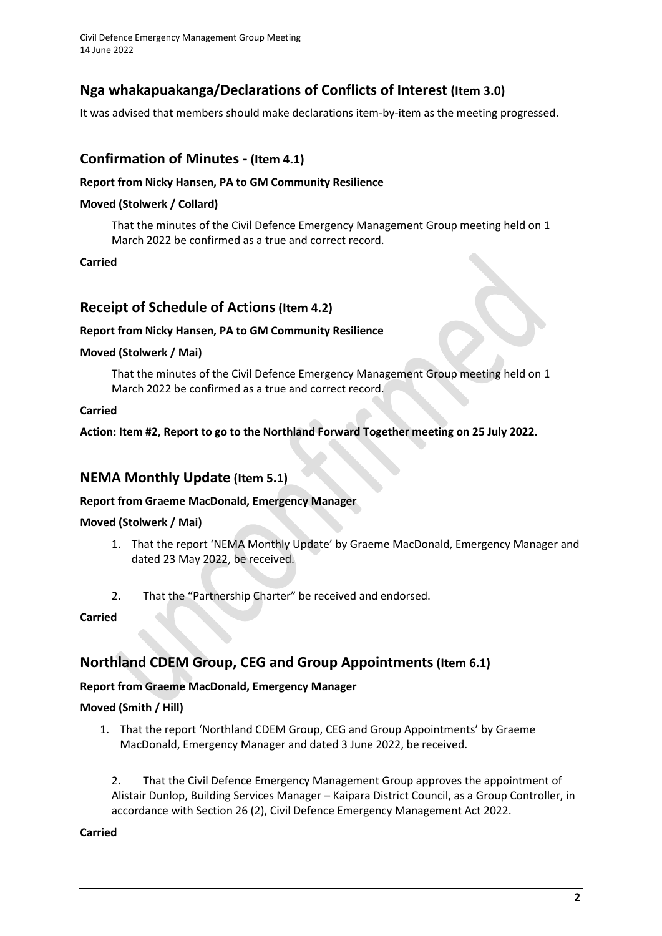Civil Defence Emergency Management Group Meeting 14 June 2022

# **Nga whakapuakanga/Declarations of Conflicts of Interest (Item 3.0)**

It was advised that members should make declarations item-by-item as the meeting progressed.

# **Confirmation of Minutes - (Item 4.1)**

#### **Report from Nicky Hansen, PA to GM Community Resilience**

#### **Moved (Stolwerk / Collard)**

That the minutes of the Civil Defence Emergency Management Group meeting held on 1 March 2022 be confirmed as a true and correct record.

**Carried**

# **Receipt of Schedule of Actions(Item 4.2)**

#### **Report from Nicky Hansen, PA to GM Community Resilience**

#### **Moved (Stolwerk / Mai)**

That the minutes of the Civil Defence Emergency Management Group meeting held on 1 March 2022 be confirmed as a true and correct record.

#### **Carried**

**Action: Item #2, Report to go to the Northland Forward Together meeting on 25 July 2022.**

## **NEMA Monthly Update (Item 5.1)**

#### **Report from Graeme MacDonald, Emergency Manager**

### **Moved (Stolwerk / Mai)**

- 1. That the report 'NEMA Monthly Update' by Graeme MacDonald, Emergency Manager and dated 23 May 2022, be received.
- 2. That the "Partnership Charter" be received and endorsed.

#### **Carried**

# **Northland CDEM Group, CEG and Group Appointments(Item 6.1)**

### **Report from Graeme MacDonald, Emergency Manager**

### **Moved (Smith / Hill)**

1. That the report 'Northland CDEM Group, CEG and Group Appointments' by Graeme MacDonald, Emergency Manager and dated 3 June 2022, be received.

2. That the Civil Defence Emergency Management Group approves the appointment of Alistair Dunlop, Building Services Manager – Kaipara District Council, as a Group Controller, in accordance with Section 26 (2), Civil Defence Emergency Management Act 2022.

#### **Carried**